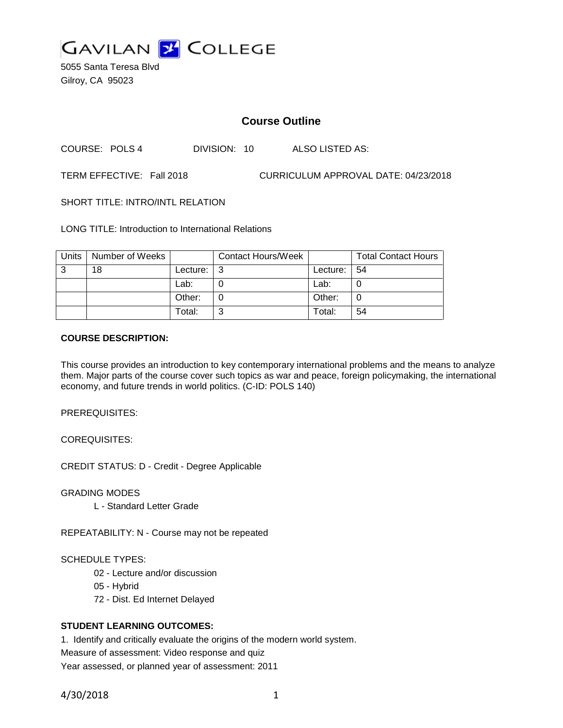

5055 Santa Teresa Blvd Gilroy, CA 95023

# **Course Outline**

COURSE: POLS 4 DIVISION: 10 ALSO LISTED AS:

TERM EFFECTIVE: Fall 2018 CURRICULUM APPROVAL DATE: 04/23/2018

SHORT TITLE: INTRO/INTL RELATION

LONG TITLE: Introduction to International Relations

| Units | Number of Weeks |          | <b>Contact Hours/Week</b> |          | <b>Total Contact Hours</b> |
|-------|-----------------|----------|---------------------------|----------|----------------------------|
| 3     | 18              | Lecture: | l 3                       | Lecture: | l 54                       |
|       |                 | Lab:     |                           | Lab:     |                            |
|       |                 | Other:   |                           | Other:   |                            |
|       |                 | Total:   | ⌒                         | Total:   | 54                         |

#### **COURSE DESCRIPTION:**

This course provides an introduction to key contemporary international problems and the means to analyze them. Major parts of the course cover such topics as war and peace, foreign policymaking, the international economy, and future trends in world politics. (C-ID: POLS 140)

PREREQUISITES:

COREQUISITES:

CREDIT STATUS: D - Credit - Degree Applicable

GRADING MODES

L - Standard Letter Grade

REPEATABILITY: N - Course may not be repeated

#### SCHEDULE TYPES:

- 02 Lecture and/or discussion
- 05 Hybrid
- 72 Dist. Ed Internet Delayed

#### **STUDENT LEARNING OUTCOMES:**

1. Identify and critically evaluate the origins of the modern world system. Measure of assessment: Video response and quiz Year assessed, or planned year of assessment: 2011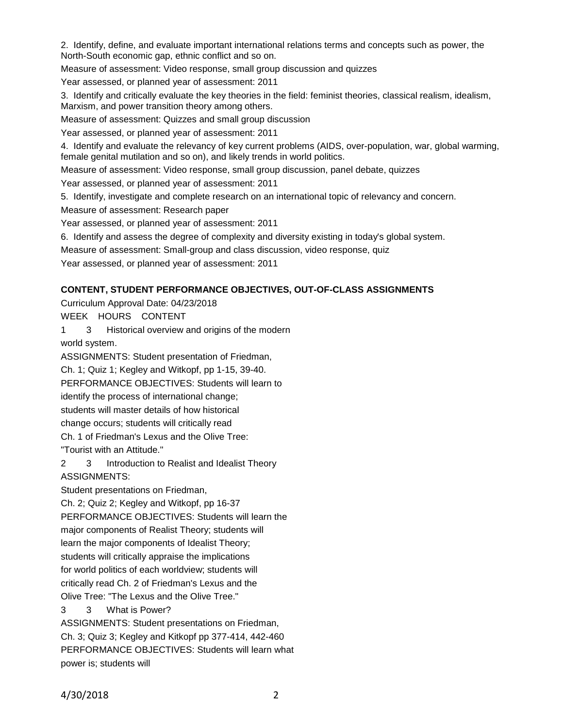2. Identify, define, and evaluate important international relations terms and concepts such as power, the North-South economic gap, ethnic conflict and so on.

Measure of assessment: Video response, small group discussion and quizzes

Year assessed, or planned year of assessment: 2011

3. Identify and critically evaluate the key theories in the field: feminist theories, classical realism, idealism, Marxism, and power transition theory among others.

Measure of assessment: Quizzes and small group discussion

Year assessed, or planned year of assessment: 2011

4. Identify and evaluate the relevancy of key current problems (AIDS, over-population, war, global warming, female genital mutilation and so on), and likely trends in world politics.

Measure of assessment: Video response, small group discussion, panel debate, quizzes

Year assessed, or planned year of assessment: 2011

5. Identify, investigate and complete research on an international topic of relevancy and concern.

Measure of assessment: Research paper

Year assessed, or planned year of assessment: 2011

6. Identify and assess the degree of complexity and diversity existing in today's global system.

Measure of assessment: Small-group and class discussion, video response, quiz

Year assessed, or planned year of assessment: 2011

## **CONTENT, STUDENT PERFORMANCE OBJECTIVES, OUT-OF-CLASS ASSIGNMENTS**

Curriculum Approval Date: 04/23/2018

WEEK HOURS CONTENT

1 3 Historical overview and origins of the modern

world system.

ASSIGNMENTS: Student presentation of Friedman,

Ch. 1; Quiz 1; Kegley and Witkopf, pp 1-15, 39-40.

PERFORMANCE OBJECTIVES: Students will learn to

identify the process of international change;

students will master details of how historical

change occurs; students will critically read

Ch. 1 of Friedman's Lexus and the Olive Tree:

"Tourist with an Attitude."

2 3 Introduction to Realist and Idealist Theory ASSIGNMENTS:

Student presentations on Friedman,

Ch. 2; Quiz 2; Kegley and Witkopf, pp 16-37

PERFORMANCE OBJECTIVES: Students will learn the

major components of Realist Theory; students will

learn the major components of Idealist Theory;

students will critically appraise the implications

for world politics of each worldview; students will

critically read Ch. 2 of Friedman's Lexus and the

Olive Tree: "The Lexus and the Olive Tree."

3 3 What is Power?

ASSIGNMENTS: Student presentations on Friedman, Ch. 3; Quiz 3; Kegley and Kitkopf pp 377-414, 442-460 PERFORMANCE OBJECTIVES: Students will learn what power is; students will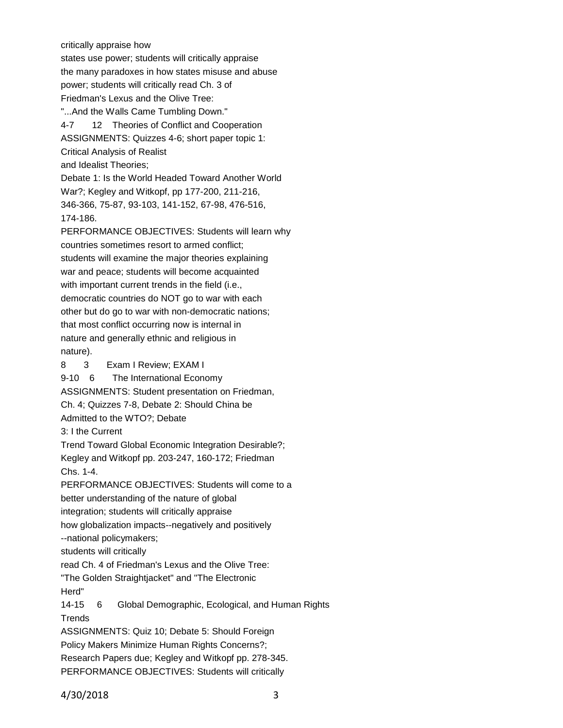critically appraise how

states use power; students will critically appraise the many paradoxes in how states misuse and abuse power; students will critically read Ch. 3 of Friedman's Lexus and the Olive Tree:

"...And the Walls Came Tumbling Down." 4-7 12 Theories of Conflict and Cooperation ASSIGNMENTS: Quizzes 4-6; short paper topic 1: Critical Analysis of Realist and Idealist Theories;

Debate 1: Is the World Headed Toward Another World War?; Kegley and Witkopf, pp 177-200, 211-216, 346-366, 75-87, 93-103, 141-152, 67-98, 476-516, 174-186.

PERFORMANCE OBJECTIVES: Students will learn why countries sometimes resort to armed conflict; students will examine the major theories explaining war and peace; students will become acquainted with important current trends in the field (i.e., democratic countries do NOT go to war with each other but do go to war with non-democratic nations; that most conflict occurring now is internal in nature and generally ethnic and religious in nature).

8 3 Exam I Review; EXAM I 9-10 6 The International Economy

ASSIGNMENTS: Student presentation on Friedman,

Ch. 4; Quizzes 7-8, Debate 2: Should China be

Admitted to the WTO?; Debate

3: I the Current

Trend Toward Global Economic Integration Desirable?; Kegley and Witkopf pp. 203-247, 160-172; Friedman Chs. 1-4.

PERFORMANCE OBJECTIVES: Students will come to a better understanding of the nature of global integration; students will critically appraise

how globalization impacts--negatively and positively

--national policymakers;

students will critically

read Ch. 4 of Friedman's Lexus and the Olive Tree:

"The Golden Straightjacket" and "The Electronic

Herd"

14-15 6 Global Demographic, Ecological, and Human Rights **Trends** 

ASSIGNMENTS: Quiz 10; Debate 5: Should Foreign

Policy Makers Minimize Human Rights Concerns?;

Research Papers due; Kegley and Witkopf pp. 278-345.

PERFORMANCE OBJECTIVES: Students will critically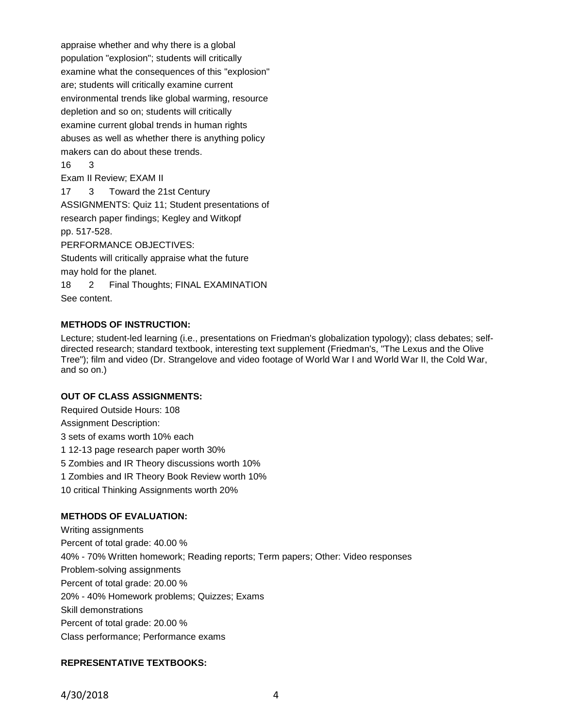appraise whether and why there is a global population "explosion"; students will critically examine what the consequences of this "explosion" are; students will critically examine current environmental trends like global warming, resource depletion and so on; students will critically examine current global trends in human rights abuses as well as whether there is anything policy makers can do about these trends. 16 3 Exam II Review; EXAM II

17 3 Toward the 21st Century ASSIGNMENTS: Quiz 11; Student presentations of research paper findings; Kegley and Witkopf pp. 517-528. PERFORMANCE OBJECTIVES:

Students will critically appraise what the future

may hold for the planet.

18 2 Final Thoughts; FINAL EXAMINATION See content.

## **METHODS OF INSTRUCTION:**

Lecture; student-led learning (i.e., presentations on Friedman's globalization typology); class debates; selfdirected research; standard textbook, interesting text supplement (Friedman's, "The Lexus and the Olive Tree"); film and video (Dr. Strangelove and video footage of World War I and World War II, the Cold War, and so on.)

#### **OUT OF CLASS ASSIGNMENTS:**

Required Outside Hours: 108

Assignment Description:

3 sets of exams worth 10% each

1 12-13 page research paper worth 30%

5 Zombies and IR Theory discussions worth 10%

1 Zombies and IR Theory Book Review worth 10%

10 critical Thinking Assignments worth 20%

## **METHODS OF EVALUATION:**

Writing assignments Percent of total grade: 40.00 % 40% - 70% Written homework; Reading reports; Term papers; Other: Video responses Problem-solving assignments Percent of total grade: 20.00 % 20% - 40% Homework problems; Quizzes; Exams Skill demonstrations Percent of total grade: 20.00 % Class performance; Performance exams

## **REPRESENTATIVE TEXTBOOKS:**